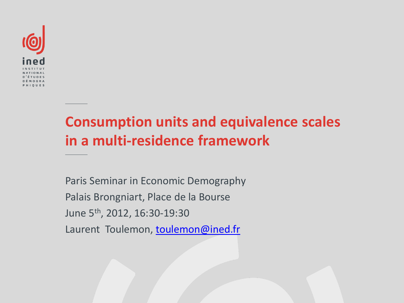

#### **Consumption units and equivalence scales in a multi-residence framework**

Paris Seminar in Economic Demography Palais Brongniart, Place de la Bourse June 5th, 2012, 16:30-19:30 Laurent Toulemon, [toulemon@ined.fr](mailto:toulemon@ined.fr)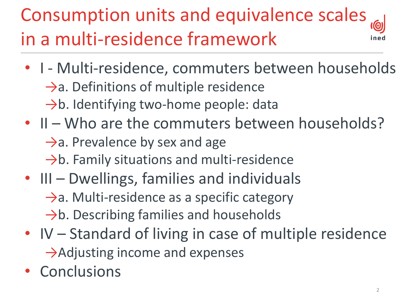#### Consumption units and equivalence scales in a multi-residence framework

- I Multi-residence, commuters between households  $\rightarrow$ a. Definitions of multiple residence →b. Identifying two-home people: data
- II Who are the commuters between households?  $\rightarrow$ a. Prevalence by sex and age  $\rightarrow$ b. Family situations and multi-residence
- III Dwellings, families and individuals →a. Multi-residence as a specific category  $\rightarrow$ b. Describing families and households
- IV Standard of living in case of multiple residence  $\rightarrow$ Adjusting income and expenses
- Conclusions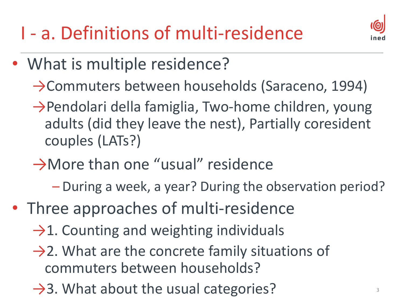I - a. Definitions of multi-residence



- What is multiple residence?
	- →Commuters between households (Saraceno, 1994)
	- →Pendolari della famiglia, Two-home children, young adults (did they leave the nest), Partially coresident couples (LATs?)
	- →More than one "usual" residence
		- During a week, a year? During the observation period?
- Three approaches of multi-residence
	- $\rightarrow$ 1. Counting and weighting individuals
	- $\rightarrow$ 2. What are the concrete family situations of commuters between households?
	- $\rightarrow$ 3. What about the usual categories?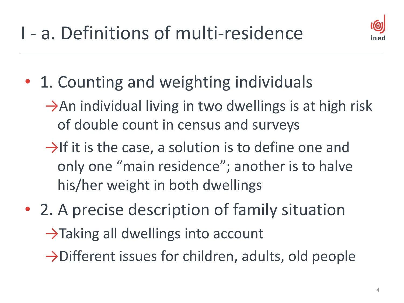

- 1. Counting and weighting individuals
	- $\rightarrow$ An individual living in two dwellings is at high risk of double count in census and surveys
	- $\rightarrow$ If it is the case, a solution is to define one and only one "main residence"; another is to halve his/her weight in both dwellings
- 2. A precise description of family situation  $\rightarrow$ Taking all dwellings into account
	- $\rightarrow$ Different issues for children, adults, old people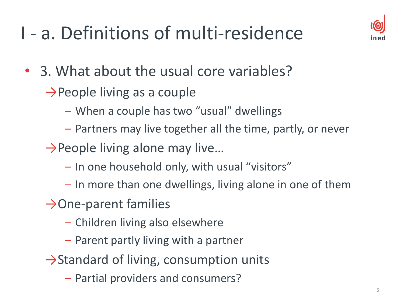### I - a. Definitions of multi-residence



- 3. What about the usual core variables?
	- $\rightarrow$ People living as a couple
		- When a couple has two "usual" dwellings
		- Partners may live together all the time, partly, or never
	- $\rightarrow$ People living alone may live...
		- In one household only, with usual "visitors"
		- In more than one dwellings, living alone in one of them
	- $\rightarrow$ One-parent families
		- Children living also elsewhere
		- Parent partly living with a partner
	- $\rightarrow$ Standard of living, consumption units
		- Partial providers and consumers?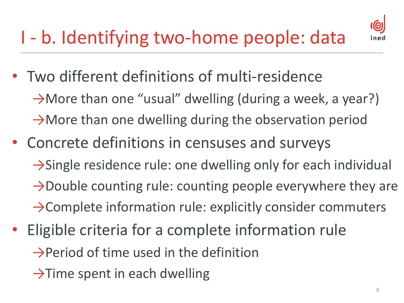## I - b. Identifying two-home people: data



- Two different definitions of multi-residence  $\rightarrow$ More than one "usual" dwelling (during a week, a year?)  $\rightarrow$ More than one dwelling during the observation period
- Concrete definitions in censuses and surveys →Single residence rule: one dwelling only for each individual →Double counting rule: counting people everywhere they are →Complete information rule: explicitly consider commuters
- Eligible criteria for a complete information rule  $\rightarrow$ Period of time used in the definition
	- $\rightarrow$ Time spent in each dwelling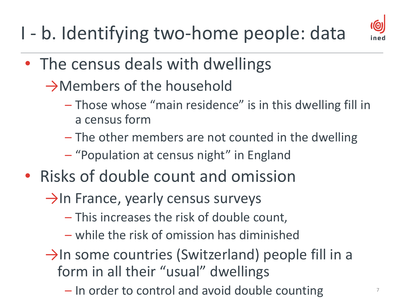I - b. Identifying two-home people: data



- The census deals with dwellings
	- →Members of the household
		- Those whose "main residence" is in this dwelling fill in a census form
		- The other members are not counted in the dwelling
		- "Population at census night" in England
- Risks of double count and omission
	- $\rightarrow$ In France, yearly census surveys
		- This increases the risk of double count,
		- while the risk of omission has diminished
	- $\rightarrow$ In some countries (Switzerland) people fill in a form in all their "usual" dwellings
		- $-$  In order to control and avoid double counting  $7$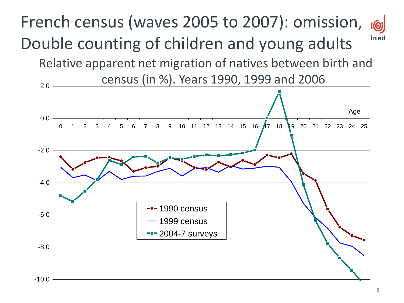#### French census (waves 2005 to 2007): omission, <u>(@)</u> ined Double counting of children and young adults

Relative apparent net migration of natives between birth and census (in %). Years 1990, 1999 and 2006

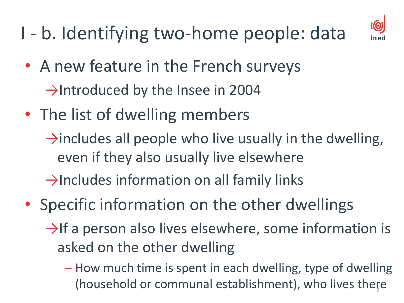#### I - b. Identifying two-home people: data



- A new feature in the French surveys  $\rightarrow$ Introduced by the Insee in 2004
- The list of dwelling members
	- $\rightarrow$ includes all people who live usually in the dwelling, even if they also usually live elsewhere

 $\rightarrow$ Includes information on all family links

- Specific information on the other dwellings
	- $\rightarrow$ If a person also lives elsewhere, some information is asked on the other dwelling
		- How much time is spent in each dwelling, type of dwelling (household or communal establishment), who lives there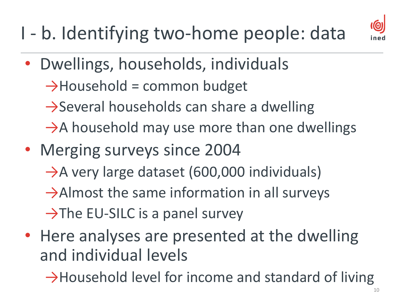I - b. Identifying two-home people: data



- Dwellings, households, individuals
	- $\rightarrow$ Household = common budget
	- $\rightarrow$ Several households can share a dwelling
	- $\rightarrow$ A household may use more than one dwellings
- Merging surveys since 2004  $\rightarrow$ A very large dataset (600,000 individuals)  $\rightarrow$ Almost the same information in all surveys
	- $\rightarrow$ The EU-SILC is a panel survey
- Here analyses are presented at the dwelling and individual levels

→Household level for income and standard of living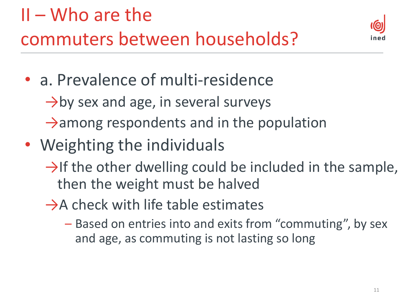

- a. Prevalence of multi-residence
	- $\rightarrow$ by sex and age, in several surveys
	- $\rightarrow$ among respondents and in the population
- Weighting the individuals
	- $\rightarrow$ If the other dwelling could be included in the sample, then the weight must be halved
	- $\rightarrow$ A check with life table estimates
		- Based on entries into and exits from "commuting", by sex and age, as commuting is not lasting so long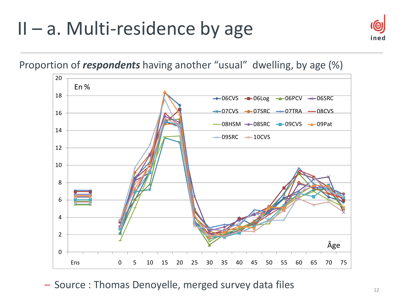#### $II - a$ . Multi-residence by age



Proportion of *respondents* having another "usual" dwelling, by age (%)



– Source : Thomas Denoyelle, merged survey data files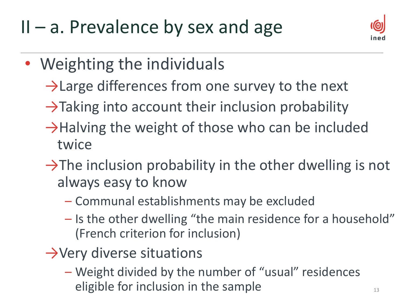$II - a$ . Prevalence by sex and age



- Weighting the individuals
	- $\rightarrow$  Large differences from one survey to the next
	- $\rightarrow$ Taking into account their inclusion probability
	- $\rightarrow$ Halving the weight of those who can be included twice
	- $\rightarrow$ The inclusion probability in the other dwelling is not always easy to know
		- Communal establishments may be excluded
		- Is the other dwelling "the main residence for a household" (French criterion for inclusion)
	- $\rightarrow$ Very diverse situations
		- Weight divided by the number of "usual" residences eligible for inclusion in the sample  $13$   $13$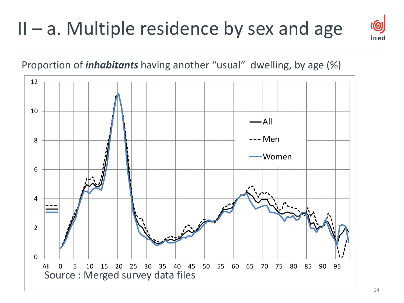#### $II - a$ . Multiple residence by sex and age



<u>(@)</u>

ned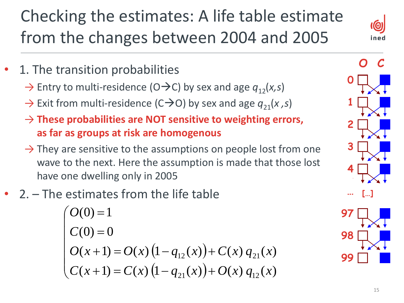#### Checking the estimates: A life table estimate from the changes between 2004 and 2005

 $\bm{\omega}$ ined

- 1. The transition probabilities
	- $\rightarrow$  Entry to multi-residence (O $\rightarrow$ C) by sex and age  $q_{12}(x,s)$
	- $\rightarrow$  Exit from multi-residence (C $\rightarrow$ O) by sex and age  $q_{21}(x, s)$
	- → **These probabilities are NOT sensitive to weighting errors, as far as groups at risk are homogenous**
	- $\rightarrow$  They are sensitive to the assumptions on people lost from one wave to the next. Here the assumption is made that those lost have one dwelling only in 2005
- 2. The estimates from the life table

$$
\begin{cases}\nO(0) = 1 \\
C(0) = 0 \\
O(x+1) = O(x) (1 - q_{12}(x)) + C(x) q_{21}(x) \\
C(x+1) = C(x) (1 - q_{21}(x)) + O(x) q_{12}(x)\n\end{cases}
$$

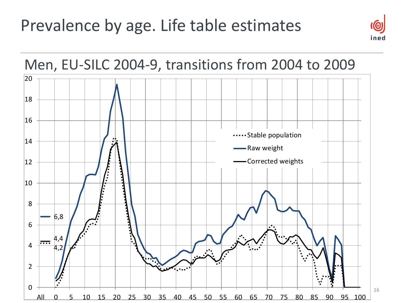#### Prevalence by age. Life table estimates



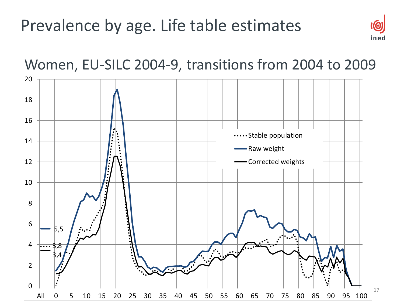#### Prevalence by age. Life table estimates



<u>(@</u>

ined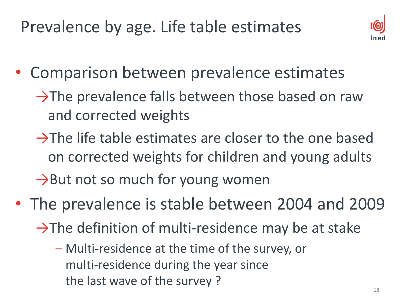

- Comparison between prevalence estimates
	- $\rightarrow$ The prevalence falls between those based on raw and corrected weights
	- $\rightarrow$ The life table estimates are closer to the one based on corrected weights for children and young adults  $\rightarrow$ But not so much for young women
- The prevalence is stable between 2004 and 2009
	- $\rightarrow$ The definition of multi-residence may be at stake
		- Multi-residence at the time of the survey, or multi-residence during the year since the last wave of the survey ?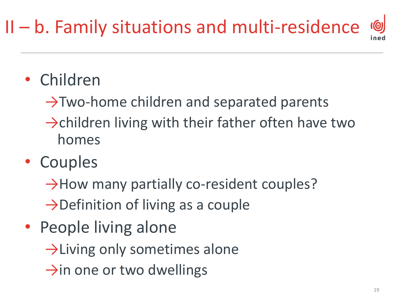#### $\overline{10}$ II – b. Family situations and multi-residence

- Children
	- $\rightarrow$ Two-home children and separated parents
	- $\rightarrow$ children living with their father often have two homes
- Couples
	- $\rightarrow$ How many partially co-resident couples?
	- $\rightarrow$ Definition of living as a couple
- People living alone
	- $\rightarrow$ Living only sometimes alone
	- $\rightarrow$ in one or two dwellings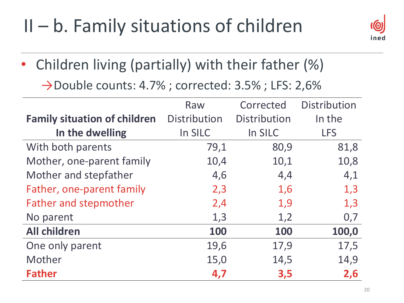#### $II - b$ . Family situations of children



• Children living (partially) with their father (%)

→Double counts: 4.7% ; corrected: 3.5% ; LFS: 2,6%

|                                     | Raw                 | Corrected           | Distribution |
|-------------------------------------|---------------------|---------------------|--------------|
| <b>Family situation of children</b> | <b>Distribution</b> | <b>Distribution</b> | In the       |
| In the dwelling                     | In SILC             | In SILC             | <b>LFS</b>   |
| With both parents                   | 79,1                | 80,9                | 81,8         |
| Mother, one-parent family           | 10,4                | 10,1                | 10,8         |
| Mother and stepfather               | 4,6                 | 4,4                 | 4,1          |
| Father, one-parent family           | 2,3                 | 1,6                 | 1,3          |
| <b>Father and stepmother</b>        | 2,4                 | 1,9                 | 1,3          |
| No parent                           | 1,3                 | 1,2                 | 0,7          |
| <b>All children</b>                 | 100                 | 100                 | 100,0        |
| One only parent                     | 19,6                | 17,9                | 17,5         |
| Mother                              | 15,0                | 14,5                | 14,9         |
| <b>Father</b>                       | 4,7                 | 3,5                 | 2,6          |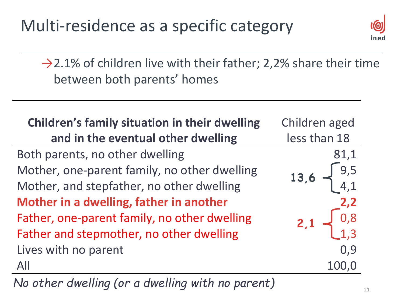

 $\rightarrow$  2.1% of children live with their father; 2,2% share their time between both parents' homes

| <b>Children's family situation in their dwelling</b><br>and in the eventual other dwelling | Children aged<br>less than 18                 |
|--------------------------------------------------------------------------------------------|-----------------------------------------------|
| Both parents, no other dwelling                                                            | 81,1                                          |
| Mother, one-parent family, no other dwelling                                               | 13,6 $\begin{cases} 9,5 \\ 4,1 \end{cases}$   |
| Mother, and stepfather, no other dwelling                                                  |                                               |
| Mother in a dwelling, father in another                                                    | 2,2                                           |
| Father, one-parent family, no other dwelling                                               | $2,1 \begin{array}{c} 0,8 \\ 1,3 \end{array}$ |
| Father and stepmother, no other dwelling                                                   |                                               |
| Lives with no parent                                                                       | 0,9                                           |
| All                                                                                        | 100,C                                         |

*No other dwelling (or a dwelling with no parent)*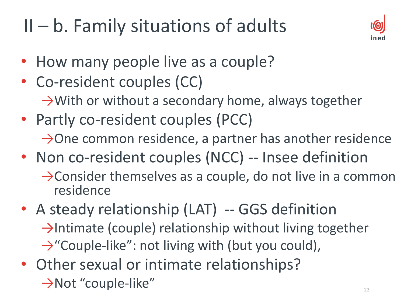$II - b$ . Family situations of adults



- How many people live as a couple?
- Co-resident couples (CC) →With or without a secondary home, always together
- Partly co-resident couples (PCC)  $\rightarrow$ One common residence, a partner has another residence
- Non co-resident couples (NCC) -- Insee definition →Consider themselves as a couple, do not live in a common residence
- A steady relationship (LAT) -- GGS definition →Intimate (couple) relationship without living together →"Couple-like": not living with (but you could),
- Other sexual or intimate relationships?  $\rightarrow$ Not "couple-like"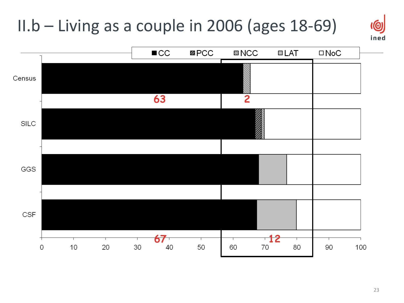#### II.b – Living as a couple in 2006 (ages 18-69)



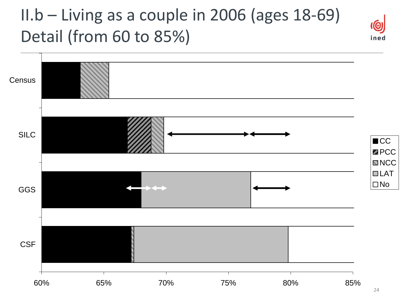#### II.b – Living as a couple in 2006 (ages 18-69) Detail (from 60 to 85%)



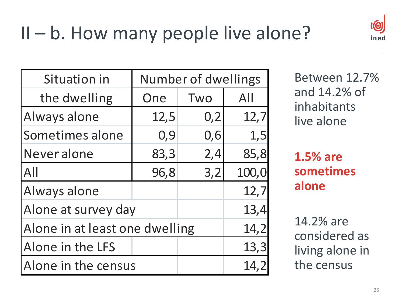

| Situation in                   |      | Number of dwellings |       |
|--------------------------------|------|---------------------|-------|
| the dwelling                   | One  | Two                 | All   |
| Always alone                   | 12,5 | 0,2                 | 12,7  |
| Sometimes alone                | 0,9  | 0,6                 | 1,5   |
| Never alone                    | 83,3 | 2,4                 | 85,8  |
| All                            | 96,8 | 3,2                 | 100,0 |
| Always alone                   |      |                     | 12,7  |
| Alone at survey day            |      |                     | 13,4  |
| Alone in at least one dwelling |      |                     | 14,2  |
| Alone in the LFS               |      |                     | 13,3  |
| Alone in the census            |      |                     | 14,2  |

Between 12.7% and 14.2% of inhabitants live alone

**1.5% are sometimes alone**

14.2% are considered as living alone in the census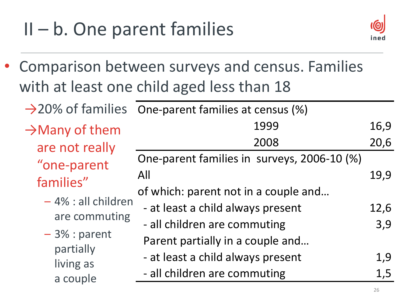## $II - b$ . One parent families



• Comparison between surveys and census. Families with at least one child aged less than 18

|                            | $\rightarrow$ 20% of families One-parent families at census (%) |      |
|----------------------------|-----------------------------------------------------------------|------|
| $\rightarrow$ Many of them | 1999                                                            | 16,9 |
| are not really             | 2008                                                            | 20,6 |
| "one-parent                | One-parent families in surveys, 2006-10 (%)                     |      |
| families"                  | All                                                             | 19,9 |
|                            | of which: parent not in a couple and                            |      |
| - 4% : all children        | - at least a child always present                               | 12,6 |
| are commuting              | - all children are commuting                                    | 3,9  |
| $-3\%$ : parent            | Parent partially in a couple and                                |      |
| partially                  | - at least a child always present                               | 1,9  |
| living as                  | - all children are commuting                                    | 1,5  |
| a couple                   |                                                                 |      |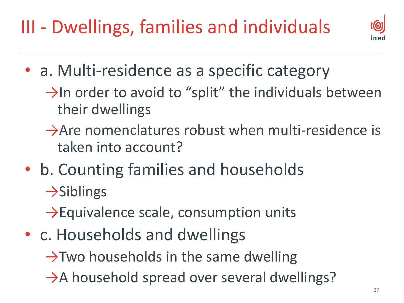III - Dwellings, families and individuals



- a. Multi-residence as a specific category
	- $\rightarrow$ In order to avoid to "split" the individuals between their dwellings
	- $\rightarrow$ Are nomenclatures robust when multi-residence is taken into account?
- b. Counting families and households  $\rightarrow$ Siblings

 $\rightarrow$ Equivalence scale, consumption units

• c. Households and dwellings

 $\rightarrow$ Two households in the same dwelling

 $\rightarrow$ A household spread over several dwellings?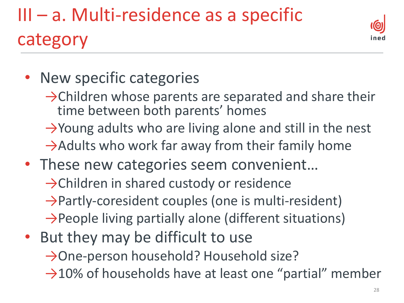## III – a. Multi-residence as a specific category



- New specific categories
	- $\rightarrow$ Children whose parents are separated and share their time between both parents' homes
	- →Young adults who are living alone and still in the nest  $\rightarrow$ Adults who work far away from their family home
- These new categories seem convenient... →Children in shared custody or residence →Partly-coresident couples (one is multi-resident) →People living partially alone (different situations)
- But they may be difficult to use

→One-person household? Household size?

 $\rightarrow$ 10% of households have at least one "partial" member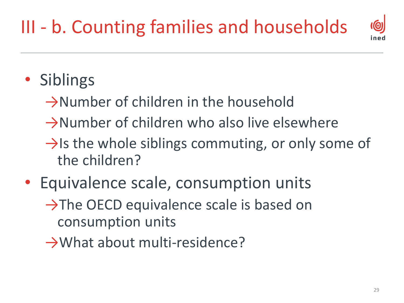### III - b. Counting families and households



- Siblings
	- $\rightarrow$ Number of children in the household
	- $\rightarrow$ Number of children who also live elsewhere
	- $\rightarrow$ Is the whole siblings commuting, or only some of the children?
- Equivalence scale, consumption units  $\rightarrow$ The OECD equivalence scale is based on consumption units
	- →What about multi-residence?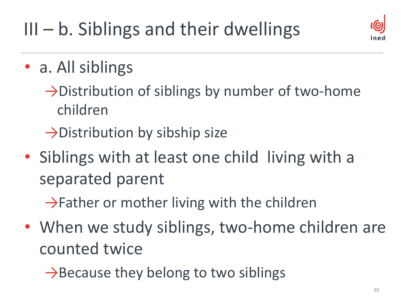## $III - b$ . Siblings and their dwellings



- a. All siblings
	- →Distribution of siblings by number of two-home children
	- →Distribution by sibship size
- Siblings with at least one child living with a separated parent
	- $\rightarrow$ Father or mother living with the children
- When we study siblings, two-home children are counted twice
	- $\rightarrow$ Because they belong to two siblings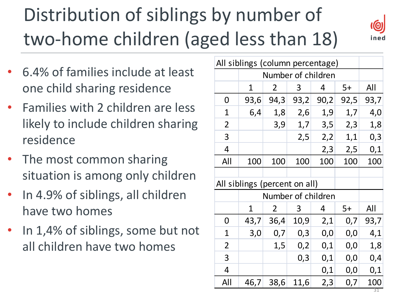# Distribution of siblings by number of two-home children (aged less than 18)



- 6.4% of families include at least one child sharing residence
- Families with 2 children are less likely to include children sharing residence
- The most common sharing situation is among only children
- In 4.9% of siblings, all children have two homes
- In 1,4% of siblings, some but not all children have two homes

| All siblings (column percentage) |                               |             |      |      |      |           |
|----------------------------------|-------------------------------|-------------|------|------|------|-----------|
|                                  | Number of children            |             |      |      |      |           |
|                                  | 1                             | 2           | 3    | 4    | $5+$ | All       |
| 0                                | 93,6                          | 94,3        | 93,2 | 90,2 | 92,5 | 93,7      |
| 1                                | 6,4                           | 1,8         | 2,6  | 1,9  | 1,7  | 4,0       |
| 2                                |                               | 3,9         | 1,7  | 3,5  | 2,3  | 1,8       |
| 3                                |                               |             | 2,5  | 2,2  | 1,1  | 0,3       |
| 4                                |                               |             |      | 2,3  | 2,5  | 0,1       |
| All                              | 100                           | 100         | 100  | 100  | 100  | 100       |
|                                  |                               |             |      |      |      |           |
|                                  | All siblings (percent on all) |             |      |      |      |           |
| Number of children               |                               |             |      |      |      |           |
|                                  | 1                             | 2           | 3    | 4    | $5+$ | All       |
| 0                                |                               | $43,7$ 36,4 | 10,9 | 2,1  | 0,7  | 93,7      |
| 1                                | 3,0                           | 0,7         | 0,3  | 0,0  | 0,0  | 4,1       |
| $\overline{2}$                   |                               | 1,5         | 0,2  | 0,1  | 0,0  | 1,8       |
| 3                                |                               |             | 0,3  | 0,1  | 0,0  | 0,4       |
| 4                                |                               |             |      | 0,1  | 0,0  | 0,1       |
| All                              | 46,7                          | 38,6        | 11,6 | 2,3  | 0,7  | 100<br>31 |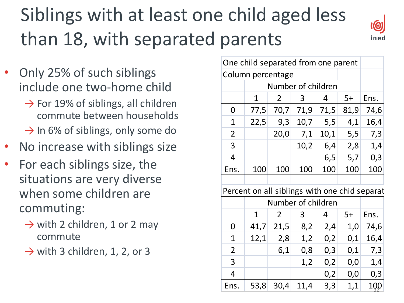## Siblings with at least one child aged less than 18, with separated parents



- Only 25% of such siblings include one two-home child
	- $\rightarrow$  For 19% of siblings, all children commute between households
	- $\rightarrow$  In 6% of siblings, only some do
- No increase with siblings size
- For each siblings size, the situations are very diverse when some children are commuting:
	- $\rightarrow$  with 2 children, 1 or 2 may commute
	- $\rightarrow$  with 3 children, 1, 2, or 3

| One child separated from one parent           |                   |                    |      |      |      |      |
|-----------------------------------------------|-------------------|--------------------|------|------|------|------|
|                                               | Column percentage |                    |      |      |      |      |
| Number of children                            |                   |                    |      |      |      |      |
|                                               | 1                 | $\overline{2}$     | 3    | 4    | $5+$ | Ens. |
| 0                                             |                   | 77,5 70,7          | 71,9 | 71,5 | 81,9 | 74,6 |
| 1                                             | 22,5              | 9,3                | 10,7 | 5,5  | 4,1  | 16,4 |
| $\overline{2}$                                |                   | 20,0               | 7,1  | 10,1 | 5,5  | 7,3  |
| 3                                             |                   |                    | 10,2 | 6,4  | 2,8  | 1,4  |
| 4                                             |                   |                    |      | 6,5  | 5,7  | 0,3  |
| Ens.                                          | 100               | 100                | 100  | 100  | 100  | 100  |
|                                               |                   |                    |      |      |      |      |
| Percent on all siblings with one chid separat |                   |                    |      |      |      |      |
|                                               |                   | Number of children |      |      |      |      |
|                                               | $\mathbf{1}$      | 2                  | 3    | 4    | 5+   | Ens. |
| 0                                             |                   | $41,7$ 21,5        | 8,2  | 2,4  | 1,0  | 74,6 |
| 1                                             | 12,1              | 2,8                | 1,2  | 0,2  | 0,1  | 16,4 |
| 2                                             |                   | 6,1                | 0,8  | 0,3  | 0,1  | 7,3  |
| 3                                             |                   |                    | 1,2  | 0,2  | 0,0  | 1,4  |
| 4                                             |                   |                    |      | 0,2  | 0,0  | 0,3  |
| Ens.                                          |                   | 53,8 30,4 11,4     |      | 3,3  | 1,1  | 100  |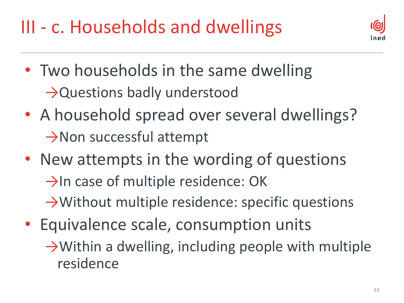III - c. Households and dwellings



- Two households in the same dwelling →Questions badly understood
- A household spread over several dwellings? →Non successful attempt
- New attempts in the wording of questions  $\rightarrow$ In case of multiple residence: OK →Without multiple residence: specific questions
- Equivalence scale, consumption units  $\rightarrow$  Within a dwelling, including people with multiple residence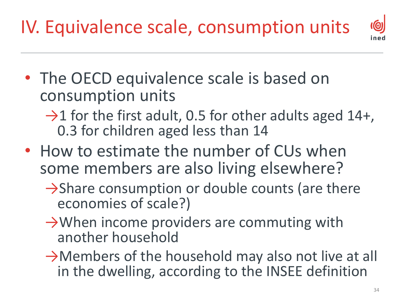IV. Equivalence scale, consumption units

 $\odot$ nec

- The OECD equivalence scale is based on consumption units
	- $\rightarrow$ 1 for the first adult, 0.5 for other adults aged 14+, 0.3 for children aged less than 14
- How to estimate the number of CUs when some members are also living elsewhere?
	- $\rightarrow$ Share consumption or double counts (are there economies of scale?)
	- $\rightarrow$  When income providers are commuting with another household
	- $\rightarrow$ Members of the household may also not live at all in the dwelling, according to the INSEE definition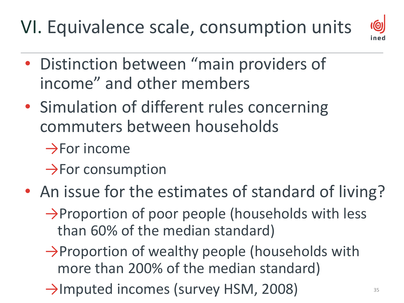#### VI. Equivalence scale, consumption units



- Distinction between "main providers of income" and other members
- Simulation of different rules concerning commuters between households
	- $\rightarrow$ For income
	- $\rightarrow$ For consumption
- An issue for the estimates of standard of living?
	- $\rightarrow$ Proportion of poor people (households with less than 60% of the median standard)
	- →Proportion of wealthy people (households with more than 200% of the median standard)
	- $\rightarrow$ Imputed incomes (survey HSM, 2008)  $\frac{35}{35}$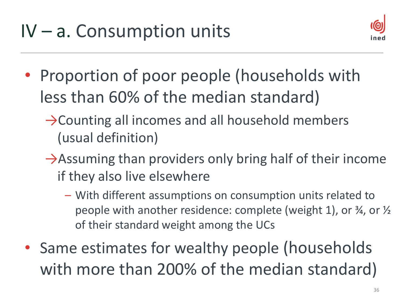

- Proportion of poor people (households with less than 60% of the median standard)
	- $\rightarrow$ Counting all incomes and all household members (usual definition)
	- $\rightarrow$ Assuming than providers only bring half of their income if they also live elsewhere
		- With different assumptions on consumption units related to people with another residence: complete (weight 1), or ¾, or ½ of their standard weight among the UCs
- Same estimates for wealthy people (households with more than 200% of the median standard)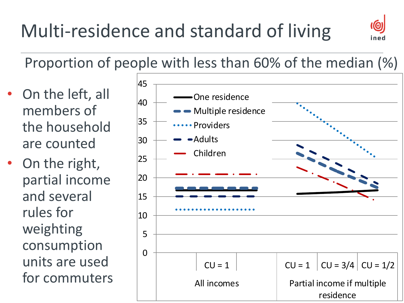## Multi-residence and standard of living



Proportion of people with less than 60% of the median (%)

- On the left, all members of the household are counted
- On the right, partial income and several rules for weighting consumption units are used for commuters

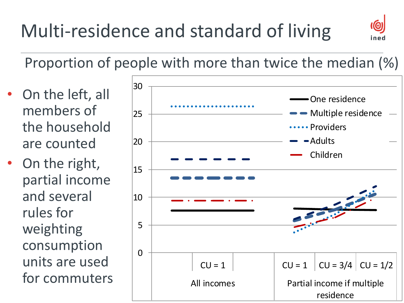

Proportion of people with more than twice the median (%)

- On the left, all members of the household are counted
- On the right, partial income and several rules for weighting consumption units are used for commuters

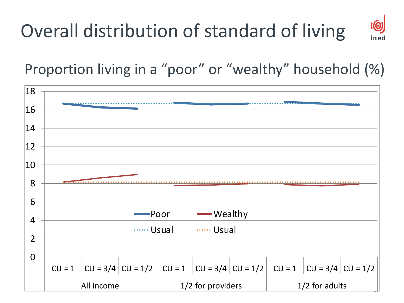#### Overall distribution of standard of living



Proportion living in a "poor" or "wealthy" household (%)

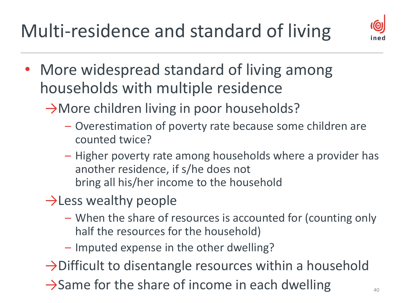Multi-residence and standard of living



- More widespread standard of living among households with multiple residence
	- →More children living in poor households?
		- Overestimation of poverty rate because some children are counted twice?
		- Higher poverty rate among households where a provider has another residence, if s/he does not bring all his/her income to the household
	- $\rightarrow$  Less wealthy people
		- When the share of resources is accounted for (counting only half the resources for the household)
		- Imputed expense in the other dwelling?
	- $\rightarrow$  Difficult to disentangle resources within a household
	- $\rightarrow$ Same for the share of income in each dwelling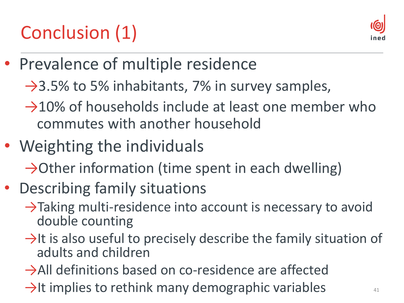#### Conclusion (1)



- Prevalence of multiple residence
	- $\rightarrow$ 3.5% to 5% inhabitants, 7% in survey samples,
	- $\rightarrow$ 10% of households include at least one member who commutes with another household
- Weighting the individuals
	- $\rightarrow$ Other information (time spent in each dwelling)
- Describing family situations
	- $\rightarrow$ Taking multi-residence into account is necessary to avoid double counting
	- $\rightarrow$ It is also useful to precisely describe the family situation of adults and children
	- →All definitions based on co-residence are affected
	- $\rightarrow$ It implies to rethink many demographic variables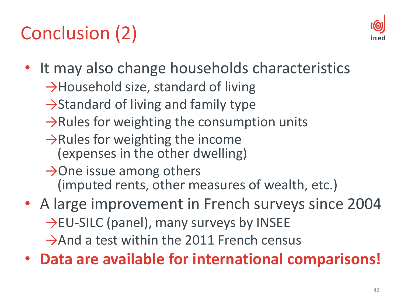## Conclusion (2)



- It may also change households characteristics
	- $\rightarrow$ Household size, standard of living
	- $\rightarrow$ Standard of living and family type
	- $\rightarrow$ Rules for weighting the consumption units
	- $\rightarrow$ Rules for weighting the income (expenses in the other dwelling)
	- $\rightarrow$ One issue among others (imputed rents, other measures of wealth, etc.)
- A large improvement in French surveys since 2004 →EU-SILC (panel), many surveys by INSEE  $\rightarrow$ And a test within the 2011 French census
- **Data are available for international comparisons!**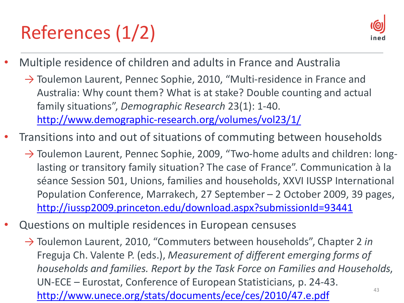# References (1/2)



- Multiple residence of children and adults in France and Australia
	- $\rightarrow$  Toulemon Laurent, Pennec Sophie, 2010, "Multi-residence in France and Australia: Why count them? What is at stake? Double counting and actual family situations", *Demographic Research* 23(1): 1-40. <http://www.demographic-research.org/volumes/vol23/1/>
- Transitions into and out of situations of commuting between households
	- $\rightarrow$  Toulemon Laurent, Pennec Sophie, 2009, "Two-home adults and children: longlasting or transitory family situation? The case of France". Communication à la séance Session 501, Unions, families and households, XXVI IUSSP International Population Conference, Marrakech, 27 September – 2 October 2009, 39 pages, <http://iussp2009.princeton.edu/download.aspx?submissionId=93441>
- Questions on multiple residences in European censuses
	- → Toulemon Laurent, 2010, "Commuters between households", Chapter 2 *in* Freguja Ch. Valente P. (eds.), *Measurement of different emerging forms of households and families. Report by the Task Force on Families and Households*, UN-ECE – Eurostat, Conference of European Statisticians, p. 24-43. <http://www.unece.org/stats/documents/ece/ces/2010/47.e.pdf>